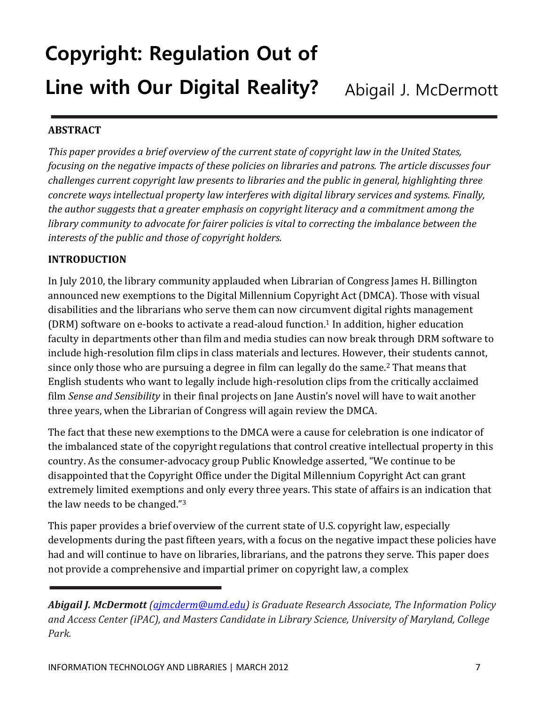# **Copyright: Regulation Out of Line with Our Digital Reality?** Abigail J. McDermott

#### **ABSTRACT**

*This paper provides a brief overview of the current state of copyright law in the United States, focusing on the negative impacts of these policies on libraries and patrons. The article discusses four challenges current copyright law presents to libraries and the public in general, highlighting three concrete ways intellectual property law interferes with digital library services and systems. Finally, the author suggests that a greater emphasis on copyright literacy and a commitment among the library community to advocate for fairer policies is vital to correcting the imbalance between the interests of the public and those of copyright holders.*

#### **INTRODUCTION**

In July 2010, the library community applauded when Librarian of Congress James H. Billington announced new exemptions to the Digital Millennium Copyright Act (DMCA). Those with visual disabilities and the librarians who serve them can now circumvent digital rights management (DRM) software on e-books to activate a read-aloud function.1 In addition, higher education faculty in departments other than film and media studies can now break through DRM software to include high-resolution film clips in class materials and lectures. However, their students cannot, since only those who are pursuing a degree in film can legally do the same.2 That means that English students who want to legally include high-resolution clips from the critically acclaimed film *Sense and Sensibility* in their final projects on Jane Austin's novel will have to wait another three years, when the Librarian of Congress will again review the DMCA.

The fact that these new exemptions to the DMCA were a cause for celebration is one indicator of the imbalanced state of the copyright regulations that control creative intellectual property in this country. As the consumer-advocacy group Public Knowledge asserted, "We continue to be disappointed that the Copyright Office under the Digital Millennium Copyright Act can grant extremely limited exemptions and only every three years. This state of affairs is an indication that the law needs to be changed."3

This paper provides a brief overview of the current state of U.S. copyright law, especially developments during the past fifteen years, with a focus on the negative impact these policies have had and will continue to have on libraries, librarians, and the patrons they serve. This paper does not provide a comprehensive and impartial primer on copyright law, a complex

*Abigail J. McDermott [\(ajmcderm@umd.edu\)](mailto:ajmcderm@umd.edu) is Graduate Research Associate, The Information Policy and Access Center (iPAC), and Masters Candidate in Library Science, University of Maryland, College Park.*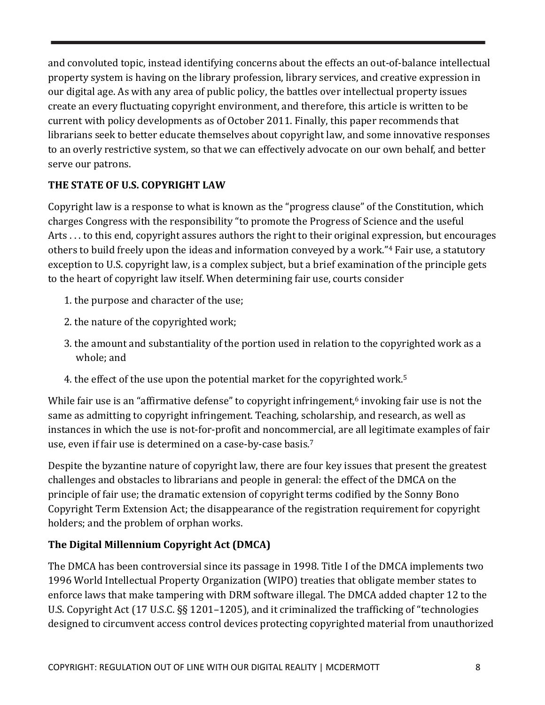and convoluted topic, instead identifying concerns about the effects an out-of-balance intellectual property system is having on the library profession, library services, and creative expression in our digital age. As with any area of public policy, the battles over intellectual property issues create an every fluctuating copyright environment, and therefore, this article is written to be current with policy developments as of October 2011. Finally, this paper recommends that librarians seek to better educate themselves about copyright law, and some innovative responses to an overly restrictive system, so that we can effectively advocate on our own behalf, and better serve our patrons.

## **THE STATE OF U.S. COPYRIGHT LAW**

Copyright law is a response to what is known as the "progress clause" of the Constitution, which charges Congress with the responsibility "to promote the Progress of Science and the useful Arts . . . to this end, copyright assures authors the right to their original expression, but encourages others to build freely upon the ideas and information conveyed by a work."4 Fair use, a statutory exception to U.S. copyright law, is a complex subject, but a brief examination of the principle gets to the heart of copyright law itself. When determining fair use, courts consider

- 1. the purpose and character of the use;
- 2. the nature of the copyrighted work;
- 3. the amount and substantiality of the portion used in relation to the copyrighted work as a whole; and
- 4. the effect of the use upon the potential market for the copyrighted work. 5

While fair use is an "affirmative defense" to copyright infringement, $6$  invoking fair use is not the same as admitting to copyright infringement. Teaching, scholarship, and research, as well as instances in which the use is not-for-profit and noncommercial, are all legitimate examples of fair use, even if fair use is determined on a case-by-case basis.7

Despite the byzantine nature of copyright law, there are four key issues that present the greatest challenges and obstacles to librarians and people in general: the effect of the DMCA on the principle of fair use; the dramatic extension of copyright terms codified by the Sonny Bono Copyright Term Extension Act; the disappearance of the registration requirement for copyright holders; and the problem of orphan works.

## **The Digital Millennium Copyright Act (DMCA)**

The DMCA has been controversial since its passage in 1998. Title I of the DMCA implements two 1996 World Intellectual Property Organization (WIPO) treaties that obligate member states to enforce laws that make tampering with DRM software illegal. The DMCA added chapter 12 to the U.S. Copyright Act (17 U.S.C. §§ 1201–1205), and it criminalized the trafficking of "technologies designed to circumvent access control devices protecting copyrighted material from unauthorized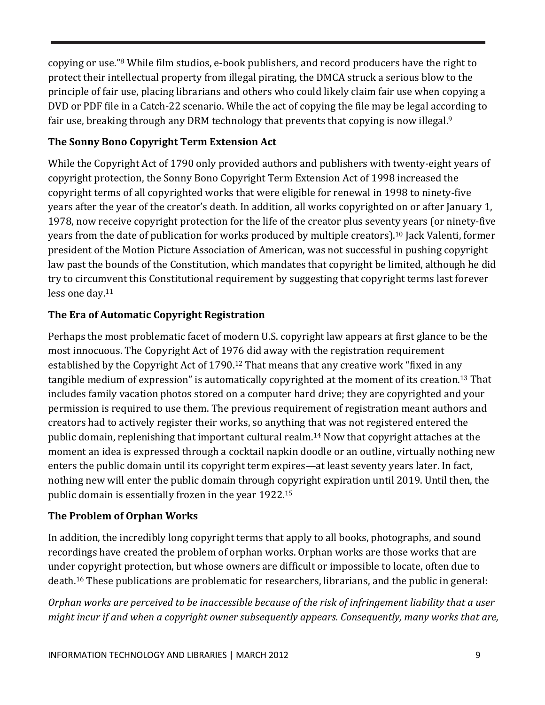copying or use."8 While film studios, e-book publishers, and record producers have the right to protect their intellectual property from illegal pirating, the DMCA struck a serious blow to the principle of fair use, placing librarians and others who could likely claim fair use when copying a DVD or PDF file in a Catch-22 scenario. While the act of copying the file may be legal according to fair use, breaking through any DRM technology that prevents that copying is now illegal.<sup>9</sup>

## **The Sonny Bono Copyright Term Extension Act**

While the Copyright Act of 1790 only provided authors and publishers with twenty-eight years of copyright protection, the Sonny Bono Copyright Term Extension Act of 1998 increased the copyright terms of all copyrighted works that were eligible for renewal in 1998 to ninety-five years after the year of the creator's death. In addition, all works copyrighted on or after January 1, 1978, now receive copyright protection for the life of the creator plus seventy years (or ninety-five years from the date of publication for works produced by multiple creators).10 Jack Valenti, former president of the Motion Picture Association of American, was not successful in pushing copyright law past the bounds of the Constitution, which mandates that copyright be limited, although he did try to circumvent this Constitutional requirement by suggesting that copyright terms last forever less one day.11

## **The Era of Automatic Copyright Registration**

Perhaps the most problematic facet of modern U.S. copyright law appears at first glance to be the most innocuous. The Copyright Act of 1976 did away with the registration requirement established by the Copyright Act of 1790.<sup>12</sup> That means that any creative work "fixed in any tangible medium of expression" is automatically copyrighted at the moment of its creation.13 That includes family vacation photos stored on a computer hard drive; they are copyrighted and your permission is required to use them. The previous requirement of registration meant authors and creators had to actively register their works, so anything that was not registered entered the public domain, replenishing that important cultural realm.14 Now that copyright attaches at the moment an idea is expressed through a cocktail napkin doodle or an outline, virtually nothing new enters the public domain until its copyright term expires—at least seventy years later. In fact, nothing new will enter the public domain through copyright expiration until 2019. Until then, the public domain is essentially frozen in the year 1922.15

## **The Problem of Orphan Works**

In addition, the incredibly long copyright terms that apply to all books, photographs, and sound recordings have created the problem of orphan works. Orphan works are those works that are under copyright protection, but whose owners are difficult or impossible to locate, often due to death.16 These publications are problematic for researchers, librarians, and the public in general:

*Orphan works are perceived to be inaccessible because of the risk of infringement liability that a user might incur if and when a copyright owner subsequently appears. Consequently, many works that are,*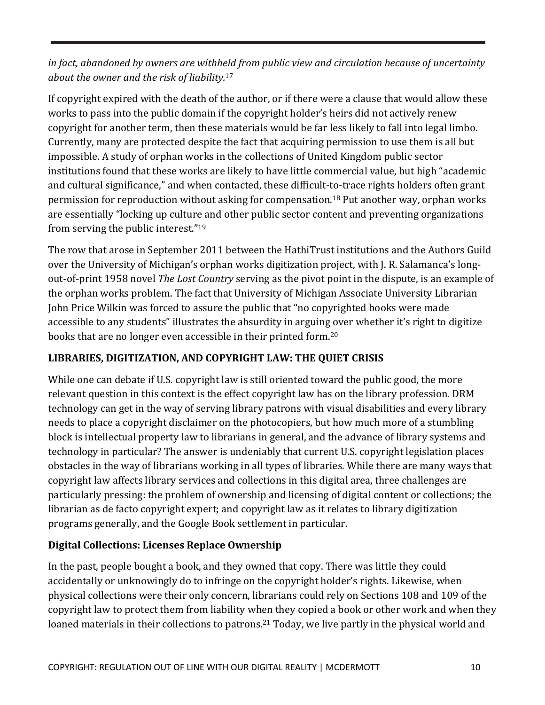## *in fact, abandoned by owners are withheld from public view and circulation because of uncertainty about the owner and the risk of liability.*<sup>17</sup>

If copyright expired with the death of the author, or if there were a clause that would allow these works to pass into the public domain if the copyright holder's heirs did not actively renew copyright for another term, then these materials would be far less likely to fall into legal limbo. Currently, many are protected despite the fact that acquiring permission to use them is all but impossible. A study of orphan works in the collections of United Kingdom public sector institutions found that these works are likely to have little commercial value, but high "academic and cultural significance," and when contacted, these difficult-to-trace rights holders often grant permission for reproduction without asking for compensation.18 Put another way, orphan works are essentially "locking up culture and other public sector content and preventing organizations from serving the public interest.["19](https://exch.mail.umd.edu/owa/WebReadyViewBody.aspx?t=att&id=RgAAAADXsLSgBeEwTJ9q0yHNKIt2BwBoUJgPO3tVSoU0x%2bkwIYfQALrqJtSLAABoUJgPO3tVSoU0x%2bkwIYfQAPIULedYAAAJ&attid0=EACjse6ZzPHuQ6QbFqVhBhu8&attcnt=1&pn=1#footnote19#footnote19)

The row that arose in September 2011 between the HathiTrust institutions and the Authors Guild over the University of Michigan's orphan works digitization project, with J. R. Salamanca's longout-of-print 1958 novel *The Lost Country* serving as the pivot point in the dispute, is an example of the orphan works problem. The fact that University of Michigan Associate University Librarian John Price Wilkin was forced to assure the public that "no copyrighted books were made accessible to any students" illustrates the absurdity in arguing over whether it's right to digitize books that are no longer even accessible in their printed form.20

## **LIBRARIES, DIGITIZATION, AND COPYRIGHT LAW: THE QUIET CRISIS**

While one can debate if U.S. copyright law is still oriented toward the public good, the more relevant question in this context is the effect copyright law has on the library profession. DRM technology can get in the way of serving library patrons with visual disabilities and every library needs to place a copyright disclaimer on the photocopiers, but how much more of a stumbling block is intellectual property law to librarians in general, and the advance of library systems and technology in particular? The answer is undeniably that current U.S. copyright legislation places obstacles in the way of librarians working in all types of libraries. While there are many ways that copyright law affects library services and collections in this digital area, three challenges are particularly pressing: the problem of ownership and licensing of digital content or collections; the librarian as de facto copyright expert; and copyright law as it relates to library digitization programs generally, and the Google Book settlement in particular.

## **Digital Collections: Licenses Replace Ownership**

In the past, people bought a book, and they owned that copy. There was little they could accidentally or unknowingly do to infringe on the copyright holder's rights. Likewise, when physical collections were their only concern, librarians could rely on Sections 108 and 109 of the copyright law to protect them from liability when they copied a book or other work and when they loaned materials in their collections to patrons.<sup>21</sup> Today, we live partly in the physical world and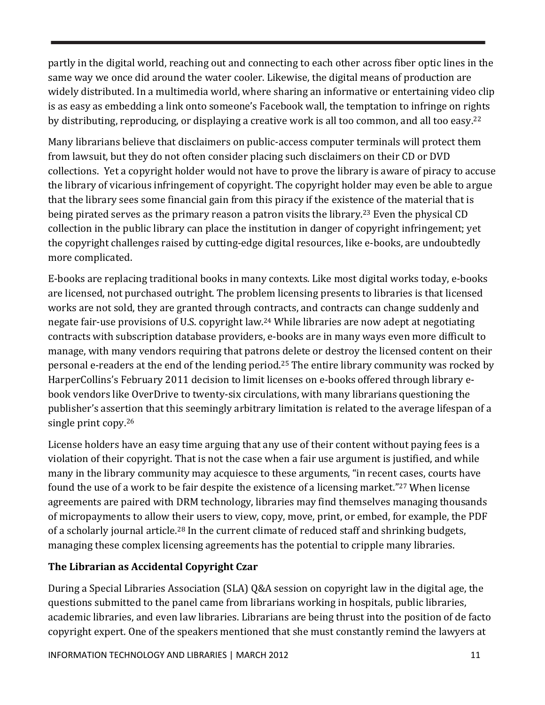partly in the digital world, reaching out and connecting to each other across fiber optic lines in the same way we once did around the water cooler. Likewise, the digital means of production are widely distributed. In a multimedia world, where sharing an informative or entertaining video clip is as easy as embedding a link onto someone's Facebook wall, the temptation to infringe on rights by distributing, reproducing, or displaying a creative work is all too common, and all too easy.22

Many librarians believe that disclaimers on public-access computer terminals will protect them from lawsuit, but they do not often consider placing such disclaimers on their CD or DVD collections. Yet a copyright holder would not have to prove the library is aware of piracy to accuse the library of vicarious infringement of copyright. The copyright holder may even be able to argue that the library sees some financial gain from this piracy if the existence of the material that is being pirated serves as the primary reason a patron visits the library.<sup>23</sup> Even the physical CD collection in the public library can place the institution in danger of copyright infringement; yet the copyright challenges raised by cutting-edge digital resources, like e-books, are undoubtedly more complicated.

E-books are replacing traditional books in many contexts. Like most digital works today, e-books are licensed, not purchased outright. The problem licensing presents to libraries is that licensed works are not sold, they are granted through contracts, and contracts can change suddenly and negate fair-use provisions of U.S. copyright law.24 While libraries are now adept at negotiating contracts with subscription database providers, e-books are in many ways even more difficult to manage, with many vendors requiring that patrons delete or destroy the licensed content on their personal e-readers at the end of the lending period.25 The entire library community was rocked by HarperCollins's February 2011 decision to limit licenses on e-books offered through library ebook vendors like OverDrive to twenty-six circulations, with many librarians questioning the publisher's assertion that this seemingly arbitrary limitation is related to the average lifespan of a single print copy.26

License holders have an easy time arguing that any use of their content without paying fees is a violation of their copyright. That is not the case when a fair use argument is justified, and while many in the library community may acquiesce to these arguments, "in recent cases, courts have found the use of a work to be fair despite the existence of a licensing market."27 When license agreements are paired with DRM technology, libraries may find themselves managing thousands of micropayments to allow their users to view, copy, move, print, or embed, for example, the PDF of a scholarly journal article.28 In the current climate of reduced staff and shrinking budgets, managing these complex licensing agreements has the potential to cripple many libraries.

#### **The Librarian as Accidental Copyright Czar**

During a Special Libraries Association (SLA) Q&A session on copyright law in the digital age, the questions submitted to the panel came from librarians working in hospitals, public libraries, academic libraries, and even law libraries. Librarians are being thrust into the position of de facto copyright expert. One of the speakers mentioned that she must constantly remind the lawyers at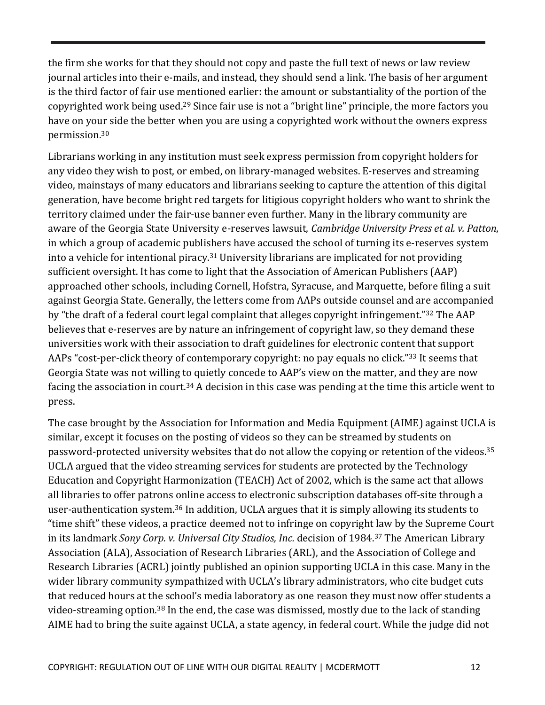the firm she works for that they should not copy and paste the full text of news or law review journal articles into their e-mails, and instead, they should send a link. The basis of her argument is the third factor of fair use mentioned earlier: the amount or substantiality of the portion of the copyrighted work being used.29 Since fair use is not a "bright line" principle, the more factors you have on your side the better when you are using a copyrighted work without the owners express permission.30

Librarians working in any institution must seek express permission from copyright holders for any video they wish to post, or embed, on library-managed websites. E-reserves and streaming video, mainstays of many educators and librarians seeking to capture the attention of this digital generation, have become bright red targets for litigious copyright holders who want to shrink the territory claimed under the fair-use banner even further. Many in the library community are aware of the Georgia State University e-reserves lawsuit, *Cambridge University Press et al. v. Patton*, in which a group of academic publishers have accused the school of turning its e-reserves system into a vehicle for intentional piracy.31 University librarians are implicated for not providing sufficient oversight. It has come to light that the Association of American Publishers (AAP) approached other schools, including Cornell, Hofstra, Syracuse, and Marquette, before filing a suit against Georgia State. Generally, the letters come from AAPs outside counsel and are accompanied by "the draft of a federal court legal complaint that alleges copyright infringement.["32](https://exch.mail.umd.edu/owa/WebReadyViewBody.aspx?t=att&id=RgAAAADXsLSgBeEwTJ9q0yHNKIt2BwBoUJgPO3tVSoU0x%2bkwIYfQALrqJtSLAABoUJgPO3tVSoU0x%2bkwIYfQAPIULedYAAAJ&attid0=EACjse6ZzPHuQ6QbFqVhBhu8&attcnt=1&pn=1#footnote30#footnote30) The AAP believes that e-reserves are by nature an infringement of copyright law, so they demand these universities work with their association to draft guidelines for electronic content that support AAPs "cost-per-click theory of contemporary copyright: no pay equals no click."<sup>33</sup> It seems that Georgia State was not willing to quietly concede to AAP's view on the matter, and they are now facing the association in court.<sup>34</sup> A decision in this case was pending at the time this article went to press.

The case brought by the Association for Information and Media Equipment (AIME) against UCLA is similar, except it focuses on the posting of videos so they can be streamed by students on password-protected university websites that do not allow the copying or retention of the videos.35 UCLA argued that the video streaming services for students are protected by the Technology Education and Copyright Harmonization (TEACH) Act of 2002, which is the same act that allows all libraries to offer patrons online access to electronic subscription databases off-site through a user-authentication system.36 In addition, UCLA argues that it is simply allowing its students to "time shift" these videos, a practice deemed not to infringe on copyright law by the Supreme Court in its landmark *Sony Corp. v. Universal City Studios, Inc.* decision of 1984.37 The American Library Association (ALA), Association of Research Libraries (ARL), and the Association of College and Research Libraries (ACRL) jointly published an opinion supporting UCLA in this case. Many in the wider library community sympathized with UCLA's library administrators, who cite budget cuts that reduced hours at the school's media laboratory as one reason they must now offer students a video-streaming option.38 In the end, the case was dismissed, mostly due to the lack of standing AIME had to bring the suite against UCLA, a state agency, in federal court. While the judge did not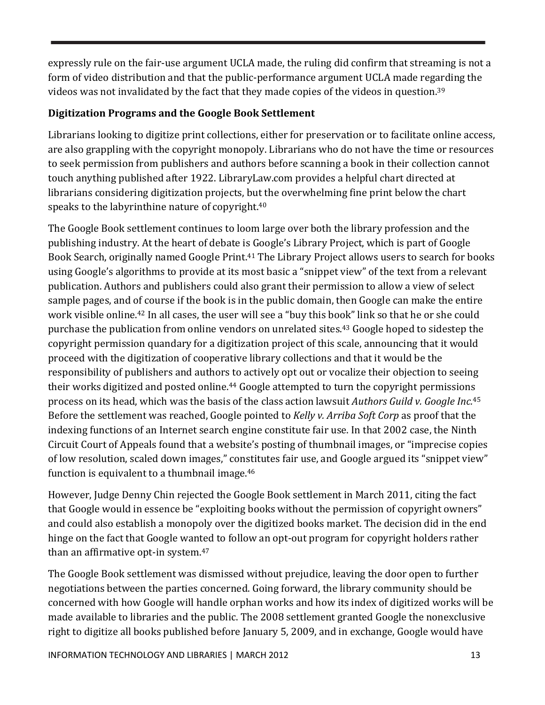expressly rule on the fair-use argument UCLA made, the ruling did confirm that streaming is not a form of video distribution and that the public-performance argument UCLA made regarding the videos was not invalidated by the fact that they made copies of the videos in question.39

## **Digitization Programs and the Google Book Settlement**

Librarians looking to digitize print collections, either for preservation or to facilitate online access, are also grappling with the copyright monopoly. Librarians who do not have the time or resources to seek permission from publishers and authors before scanning a book in their collection cannot touch anything published after 1922. LibraryLaw.com provides a helpful chart directed at librarians considering digitization projects, but the overwhelming fine print below the chart speaks to the labyrinthine nature of copyright.<sup>40</sup>

The Google Book settlement continues to loom large over both the library profession and the publishing industry. At the heart of debate is Google's Library Project, which is part of Google Book Search, originally named Google Print.41 The Library Project allows users to search for books using Google's algorithms to provide at its most basic a "snippet view" of the text from a relevant publication. Authors and publishers could also grant their permission to allow a view of select sample pages, and of course if the book is in the public domain, then Google can make the entire work visible online[.42](https://exch.mail.umd.edu/owa/WebReadyViewBody.aspx?t=att&id=RgAAAADXsLSgBeEwTJ9q0yHNKIt2BwBoUJgPO3tVSoU0x%2bkwIYfQALrqJtSLAABoUJgPO3tVSoU0x%2bkwIYfQAPIULedYAAAJ&attid0=EACjse6ZzPHuQ6QbFqVhBhu8&attcnt=1&pn=1#footnote40#footnote40) In all cases, the user will see a "buy this book" link so that he or she could purchase the publication from online vendors on unrelated sites.43 Google hoped to sidestep the copyright permission quandary for a digitization project of this scale, announcing that it would proceed with the digitization of cooperative library collections and that it would be the responsibility of publishers and authors to actively opt out or vocalize their objection to seeing their works digitized and posted online.<sup>44</sup> Google attempted to turn the copyright permissions process on its head, which was the basis of the class action lawsuit *Authors Guild v. Google Inc.*<sup>45</sup> Before the settlement was reached, Google pointed to *Kelly v. Arriba Soft Corp* as proof that the indexing functions of an Internet search engine constitute fair use. In that 2002 case, the Ninth Circuit Court of Appeals found that a website's posting of thumbnail images, or "imprecise copies of low resolution, scaled down images," constitutes fair use, and Google argued its "snippet view" function is equivalent to a thumbnail image.46

However, Judge Denny Chin rejected the Google Book settlement in March 2011, citing the fact that Google would in essence be "exploiting books without the permission of copyright owners" and could also establish a monopoly over the digitized books market. The decision did in the end hinge on the fact that Google wanted to follow an opt-out program for copyright holders rather than an affirmative opt-in system.47

The Google Book settlement was dismissed without prejudice, leaving the door open to further negotiations between the parties concerned. Going forward, the library community should be concerned with how Google will handle orphan works and how its index of digitized works will be made available to libraries and the public. The 2008 settlement granted Google the nonexclusive right to digitize all books published before January 5, 2009, and in exchange, Google would have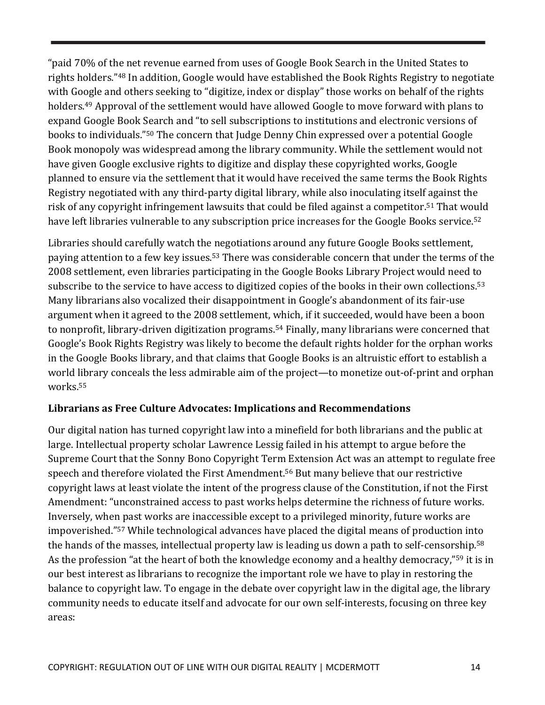"paid 70% of the net revenue earned from uses of Google Book Search in the United States to rights holders."48 In addition, Google would have established the Book Rights Registry to negotiate with Google and others seeking to "digitize, index or display" those works on behalf of the rights holders.<sup>49</sup> Approval of the settlement would have allowed Google to move forward with plans to expand Google Book Search and "to sell subscriptions to institutions and electronic versions of books to individuals."50 The concern that Judge Denny Chin expressed over a potential Google Book monopoly was widespread among the library community. While the settlement would not have given Google exclusive rights to digitize and display these copyrighted works, Google planned to ensure via the settlement that it would have received the same terms the Book Rights Registry negotiated with any third-party digital library, while also inoculating itself against the risk of any copyright infringement lawsuits that could be filed against a competitor.<sup>51</sup> That would have left libraries vulnerable to any subscription price increases for the Google Books service.<sup>52</sup>

Libraries should carefully watch the negotiations around any future Google Books settlement, paying attention to a few key issues.53 There was considerable concern that under the terms of the 2008 settlement, even libraries participating in the Google Books Library Project would need to subscribe to the service to have access to digitized copies of the books in their own collections.<sup>53</sup> Many librarians also vocalized their disappointment in Google's abandonment of its fair-use argument when it agreed to the 2008 settlement, which, if it succeeded, would have been a boon to nonprofit, library-driven digitization program[s.54](https://exch.mail.umd.edu/owa/WebReadyViewBody.aspx?t=att&id=RgAAAADXsLSgBeEwTJ9q0yHNKIt2BwBoUJgPO3tVSoU0x%2bkwIYfQALrqJtSLAABoUJgPO3tVSoU0x%2bkwIYfQAPIULedYAAAJ&attid0=EACjse6ZzPHuQ6QbFqVhBhu8&attcnt=1&pn=1#footnote50#footnote50) Finally, many librarians were concerned that Google's Book Rights Registry was likely to become the default rights holder for the orphan works in the Google Books library, and that claims that Google Books is an altruistic effort to establish a world library conceals the less admirable aim of the project—to monetize out-of-print and orphan works.55

#### **Librarians as Free Culture Advocates: Implications and Recommendations**

Our digital nation has turned copyright law into a minefield for both librarians and the public at large. Intellectual property scholar Lawrence Lessig failed in his attempt to argue before the Supreme Court that the Sonny Bono Copyright Term Extension Act was an attempt to regulate free speech and therefore violated the First Amendment.56 But many believe that our restrictive copyright laws at least violate the intent of the progress clause of the Constitution, if not the First Amendment: "unconstrained access to past works helps determine the richness of future works. Inversely, when past works are inaccessible except to a privileged minority, future works are impoverished."57 While technological advances have placed the digital means of production into the hands of the masses, intellectual property law is leading us down a path to self-censorship.58 As the profession "at the heart of both the knowledge economy and a healthy democracy,"59 it is in our best interest as librarians to recognize the important role we have to play in restoring the balance to copyright law. To engage in the debate over copyright law in the digital age, the library community needs to educate itself and advocate for our own self-interests, focusing on three key areas: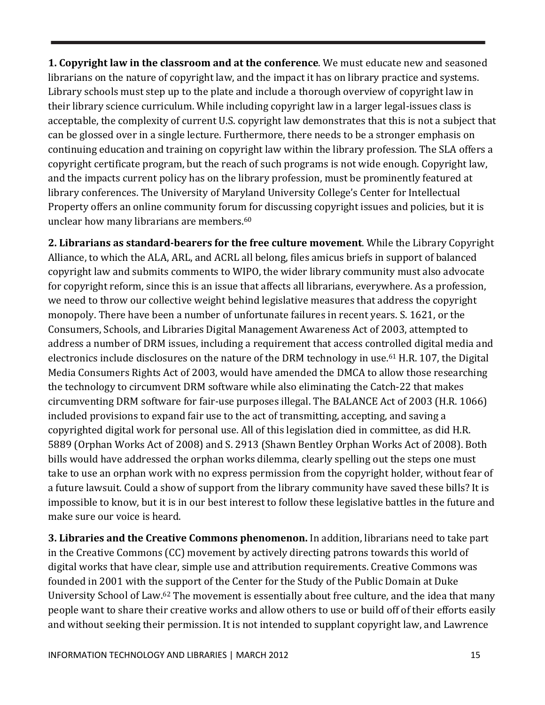**1. Copyright law in the classroom and at the conference**. We must educate new and seasoned librarians on the nature of copyright law, and the impact it has on library practice and systems. Library schools must step up to the plate and include a thorough overview of copyright law in their library science curriculum. While including copyright law in a larger legal-issues class is acceptable, the complexity of current U.S. copyright law demonstrates that this is not a subject that can be glossed over in a single lecture. Furthermore, there needs to be a stronger emphasis on continuing education and training on copyright law within the library profession. The SLA offers a copyright certificate program, but the reach of such programs is not wide enough. Copyright law, and the impacts current policy has on the library profession, must be prominently featured at library conferences. The University of Maryland University College's Center for Intellectual Property offers an online community forum for discussing copyright issues and policies, but it is unclear how many librarians are members.60

**2. Librarians as standard-bearers for the free culture movement**. While the Library Copyright Alliance, to which the ALA, ARL, and ACRL all belong, files amicus briefs in support of balanced copyright law and submits comments to WIPO, the wider library community must also advocate for copyright reform, since this is an issue that affects all librarians, everywhere. As a profession, we need to throw our collective weight behind legislative measures that address the copyright monopoly. There have been a number of unfortunate failures in recent years. S. 1621, or the Consumers, Schools, and Libraries Digital Management Awareness Act of 2003, attempted to address a number of DRM issues, including a requirement that access controlled digital media and electronics include disclosures on the nature of the DRM technology in use.61 H.R. 107, the Digital Media Consumers Rights Act of 2003, would have amended the DMCA to allow those researching the technology to circumvent DRM software while also eliminating the Catch-22 that makes circumventing DRM software for fair-use purposes illegal. The BALANCE Act of 2003 (H.R. 1066) included provisions to expand fair use to the act of transmitting, accepting, and saving a copyrighted digital work for personal use. All of this legislation died in committee, as did H.R. 5889 (Orphan Works Act of 2008) and S. 2913 (Shawn Bentley Orphan Works Act of 2008). Both bills would have addressed the orphan works dilemma, clearly spelling out the steps one must take to use an orphan work with no express permission from the copyright holder, without fear of a future lawsuit. Could a show of support from the library community have saved these bills? It is impossible to know, but it is in our best interest to follow these legislative battles in the future and make sure our voice is heard.

**3. Libraries and the Creative Commons phenomenon.** In addition, librarians need to take part in the Creative Commons (CC) movement by actively directing patrons towards this world of digital works that have clear, simple use and attribution requirements. Creative Commons was founded in 2001 with the support of the Center for the Study of the Public Domain at Duke University School of Law.62 The movement is essentially about free culture, and the idea that many people want to share their creative works and allow others to use or build off of their efforts easily and without seeking their permission. It is not intended to supplant copyright law, and Lawrence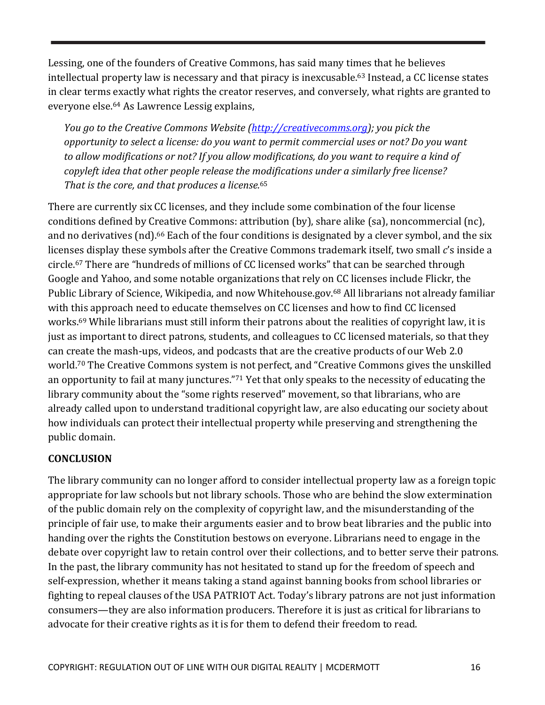Lessing, one of the founders of Creative Commons, has said many times that he believes intellectual property law is necessary and that piracy is inexcusable.63 Instead, a CC license states in clear terms exactly what rights the creator reserves, and conversely, what rights are granted to everyone else[.64](https://exch.mail.umd.edu/owa/WebReadyViewBody.aspx?t=att&id=RgAAAADXsLSgBeEwTJ9q0yHNKIt2BwBoUJgPO3tVSoU0x%2bkwIYfQALrqJtSLAABoUJgPO3tVSoU0x%2bkwIYfQAPIULedYAAAJ&attid0=EACjse6ZzPHuQ6QbFqVhBhu8&attcnt=1&pn=1#footnote60#footnote60) As Lawrence Lessig explains,

*You go to the Creative Commons Website [\(http://creativecomms.org\)](https://exch.mail.umd.edu/owa/redir.aspx?C=01cfbeb60fb24d1594b179edf974dcfd&URL=http%3a%2f%2fcreativecomms.org); you pick the opportunity to select a license: do you want to permit commercial uses or not? Do you want to allow modifications or not? If you allow modifications, do you want to require a kind of copyleft idea that other people release the modifications under a similarly free license? That is the core, and that produces a license.*<sup>65</sup>

There are currently six CC licenses, and they include some combination of the four license conditions defined by Creative Commons: attribution (by), share alike (sa), noncommercial (nc), and no derivatives (nd).<sup>66</sup> Each of the four conditions is designated by a clever symbol, and the six licenses display these symbols after the Creative Commons trademark itself, two small *c*'s inside a circle.67 There are "hundreds of millions of CC licensed works" that can be searched through Google and Yahoo, and some notable organizations that rely on CC licenses include Flickr, the Public Library of Science, Wikipedia, and now Whitehouse.gov.<sup>68</sup> All librarians not already familiar with this approach need to educate themselves on CC licenses and how to find CC licensed work[s.69](https://exch.mail.umd.edu/owa/WebReadyViewBody.aspx?t=att&id=RgAAAADXsLSgBeEwTJ9q0yHNKIt2BwBoUJgPO3tVSoU0x%2bkwIYfQALrqJtSLAABoUJgPO3tVSoU0x%2bkwIYfQAPIULedYAAAJ&attid0=EACjse6ZzPHuQ6QbFqVhBhu8&attcnt=1&pn=1#footnote65#footnote65) While librarians must still inform their patrons about the realities of copyright law, it is just as important to direct patrons, students, and colleagues to CC licensed materials, so that they can create the mash-ups, videos, and podcasts that are the creative products of our Web 2.0 world.70 The Creative Commons system is not perfect, and "Creative Commons gives the unskilled an opportunity to fail at many junctures."71 Yet that only speaks to the necessity of educating the library community about the "some rights reserved" movement, so that librarians, who are already called upon to understand traditional copyright law, are also educating our society about how individuals can protect their intellectual property while preserving and strengthening the public domain.

#### **CONCLUSION**

The library community can no longer afford to consider intellectual property law as a foreign topic appropriate for law schools but not library schools. Those who are behind the slow extermination of the public domain rely on the complexity of copyright law, and the misunderstanding of the principle of fair use, to make their arguments easier and to brow beat libraries and the public into handing over the rights the Constitution bestows on everyone. Librarians need to engage in the debate over copyright law to retain control over their collections, and to better serve their patrons. In the past, the library community has not hesitated to stand up for the freedom of speech and self-expression, whether it means taking a stand against banning books from school libraries or fighting to repeal clauses of the USA PATRIOT Act. Today's library patrons are not just information consumers—they are also information producers. Therefore it is just as critical for librarians to advocate for their creative rights as it is for them to defend their freedom to read.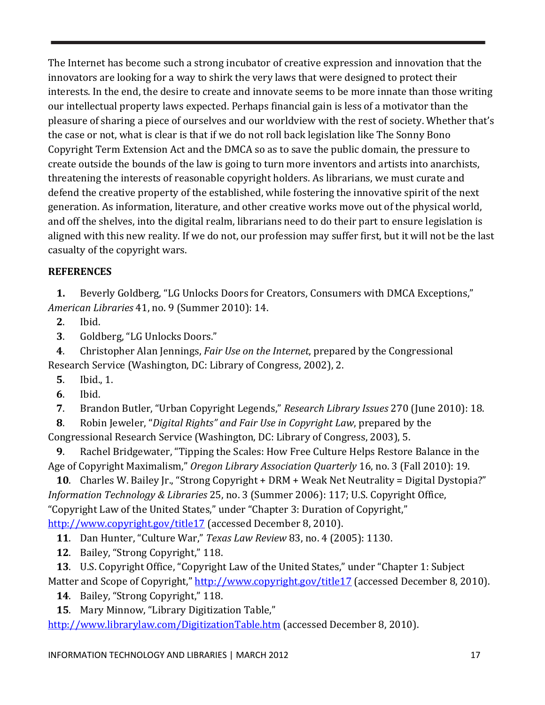The Internet has become such a strong incubator of creative expression and innovation that the innovators are looking for a way to shirk the very laws that were designed to protect their interests. In the end, the desire to create and innovate seems to be more innate than those writing our intellectual property laws expected. Perhaps financial gain is less of a motivator than the pleasure of sharing a piece of ourselves and our worldview with the rest of society. Whether that's the case or not, what is clear is that if we do not roll back legislation like The Sonny Bono Copyright Term Extension Act and the DMCA so as to save the public domain, the pressure to create outside the bounds of the law is going to turn more inventors and artists into anarchists, threatening the interests of reasonable copyright holders. As librarians, we must curate and defend the creative property of the established, while fostering the innovative spirit of the next generation. As information, literature, and other creative works move out of the physical world, and off the shelves, into the digital realm, librarians need to do their part to ensure legislation is aligned with this new reality. If we do not, our profession may suffer first, but it will not be the last casualty of the copyright wars.

#### **REFERENCES**

**1.** Beverly Goldberg, "LG Unlocks Doors for Creators, Consumers with DMCA Exceptions," *American Libraries* 41, no. 9 (Summer 2010): 14.

**2**. Ibid.

**3**. Goldberg, "LG Unlocks Doors."

**4**. Christopher Alan Jennings, *Fair Use on the Internet*, prepared by the Congressional Research Service (Washington, DC: Library of Congress, 2002), 2.

**5**. Ibid., 1.

**6**. Ibid.

**7**. Brandon Butler, "Urban Copyright Legends," *Research Library Issues* 270 (June 2010): 18.

**8**. Robin Jeweler, "*Digital Rights" and Fair Use in Copyright Law*, prepared by the Congressional Research Service (Washington, DC: Library of Congress, 2003), 5.

**9**. Rachel Bridgewater, "Tipping the Scales: How Free Culture Helps Restore Balance in the Age of Copyright Maximalism," *Oregon Library Association Quarterly* 16, no. 3 (Fall 2010): 19.

**10**. Charles W. Bailey Jr., "Strong Copyright + DRM + Weak Net Neutrality = Digital Dystopia?" *Information Technology & Libraries* 25, no. 3 (Summer 2006): 117; U.S. Copyright Office, "Copyright Law of the United States," under "Chapter 3: Duration of Copyright," [http://www.copyright.gov/title17](https://exch.mail.umd.edu/owa/redir.aspx?C=01cfbeb60fb24d1594b179edf974dcfd&URL=http%3a%2f%2fwww.copyright.gov%2ftitle17) (accessed December 8, 2010).

**11**. Dan Hunter, "Culture War," *Texas Law Review* 83, no. 4 (2005): 1130.

**12**. Bailey, "Strong Copyright," 118.

**13**. U.S. Copyright Office, "Copyright Law of the United States," under "Chapter 1: Subject Matter and Scope of Copyright," [http://www.copyright.gov/title17](https://exch.mail.umd.edu/owa/redir.aspx?C=01cfbeb60fb24d1594b179edf974dcfd&URL=http%3a%2f%2fwww.copyright.gov%2ftitle17) (accessed December 8, 2010).

**14**. Bailey, "Strong Copyright," 118.

**15**. Mary Minnow, "Library Digitization Table,"

[http://www.librarylaw.com/DigitizationTable.htm](https://exch.mail.umd.edu/owa/redir.aspx?C=01cfbeb60fb24d1594b179edf974dcfd&URL=http%3a%2f%2fwww.librarylaw.com%2fDigitizationTable.htm) (accessed December 8, 2010).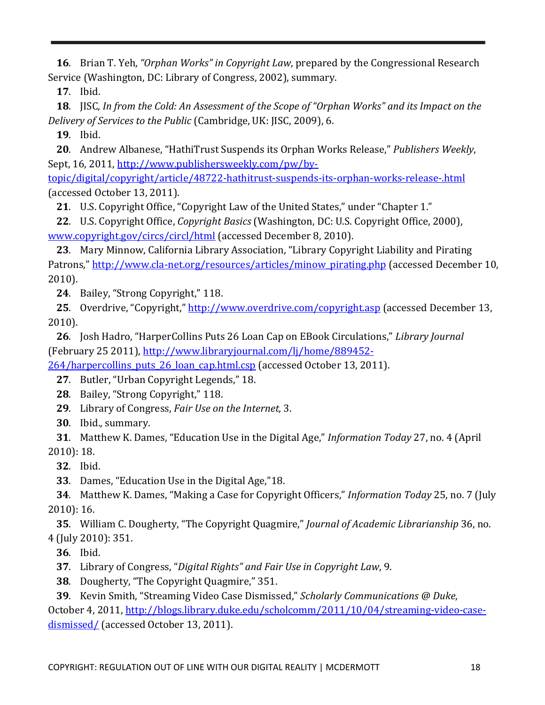**16**. Brian T. Yeh, *"Orphan Works" in Copyright Law*, prepared by the Congressional Research Service (Washington, DC: Library of Congress, 2002), summary.

**17**. Ibid.

**18**. JISC, *In from the Cold: An Assessment of the Scope of "Orphan Works" and its Impact on the Delivery of Services to the Public* (Cambridge, UK: JISC, 2009), 6.

**19**. Ibid.

**20**. Andrew Albanese, "HathiTrust Suspends its Orphan Works Release," *Publishers Weekly*, Sept, 16, 2011[, http://www.publishersweekly.com/pw/by-](http://www.publishersweekly.com/pw/by-topic/digital/copyright/article/48722-hathitrust-suspends-its-orphan-works-release-.html)

[topic/digital/copyright/article/48722-hathitrust-suspends-its-orphan-works-release-.html](http://www.publishersweekly.com/pw/by-topic/digital/copyright/article/48722-hathitrust-suspends-its-orphan-works-release-.html) (accessed October 13, 2011).

**21**. U.S. Copyright Office, "Copyright Law of the United States," under "Chapter 1."

**22**. U.S. Copyright Office, *Copyright Basics* (Washington, DC: U.S. Copyright Office, 2000), [www.copyright.gov/circs/circl/html](https://exch.mail.umd.edu/owa/redir.aspx?C=01cfbeb60fb24d1594b179edf974dcfd&URL=http%3a%2f%2fwww.copyright.gov%2fcircs%2fcircl%2fhtml) (accessed December 8, 2010).

**23**. Mary Minnow, California Library Association, "Library Copyright Liability and Pirating Patrons," [http://www.cla-net.org/resources/articles/minow\\_pirating.php](https://exch.mail.umd.edu/owa/redir.aspx?C=01cfbeb60fb24d1594b179edf974dcfd&URL=http%3a%2f%2fwww.cla-net.org%2fresources%2farticles%2fminow_pirating.php) (accessed December 10, 2010).

**24**. Bailey, "Strong Copyright," 118.

**25**. Overdrive, "Copyright," [http://www.overdrive.com/copyright.asp](https://exch.mail.umd.edu/owa/redir.aspx?C=01cfbeb60fb24d1594b179edf974dcfd&URL=http%3a%2f%2fwww.overdrive.com%2fcopyright.asp) (accessed December 13, 2010).

**26**. Josh Hadro, "HarperCollins Puts 26 Loan Cap on EBook Circulations," *Library Journal* (February 25 2011)[, http://www.libraryjournal.com/lj/home/889452-](http://www.libraryjournal.com/lj/home/889452-264/harpercollins_puts_26_loan_cap.html.csp)

264/harpercollins puts 26 loan cap.html.csp (accessed October 13, 2011).

**27**. Butler, "Urban Copyright Legends," 18.

**28**. Bailey, "Strong Copyright," 118.

**29**. Library of Congress, *Fair Use on the Internet,* 3.

**30**. Ibid., summary.

**31**. Matthew K. Dames, "Education Use in the Digital Age," *Information Today* 27, no. 4 (April 2010): 18.

**32**. Ibid.

**33**. Dames, "Education Use in the Digital Age,"18.

**34**. Matthew K. Dames, "Making a Case for Copyright Officers," *Information Today* 25, no. 7 (July 2010): 16.

**35**. William C. Dougherty, "The Copyright Quagmire," *Journal of Academic Librarianship* 36, no. 4 (July 2010): 351.

**36**. Ibid.

**37**. Library of Congress, "*Digital Rights" and Fair Use in Copyright Law*, 9.

**38**. Dougherty, "The Copyright Quagmire," 351.

**39**. Kevin Smith, "Streaming Video Case Dismissed," *Scholarly Communications @ Duke*,

October 4, 2011, [http://blogs.library.duke.edu/scholcomm/2011/10/04/streaming-video-case](http://blogs.library.duke.edu/scholcomm/2011/10/04/streaming-video-case-dismissed/)[dismissed/](http://blogs.library.duke.edu/scholcomm/2011/10/04/streaming-video-case-dismissed/) (accessed October 13, 2011).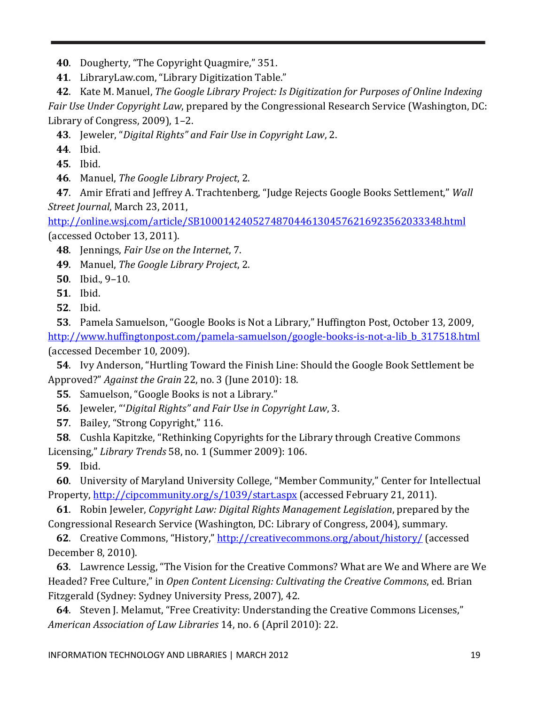. Dougherty, "The Copyright Quagmire," 351.

. LibraryLaw.com, "Library Digitization Table."

. Kate M. Manuel, *The Google Library Project: Is Digitization for Purposes of Online Indexing Fair Use Under Copyright Law*, prepared by the Congressional Research Service (Washington, DC: Library of Congress, 2009), 1–2.

. Jeweler, "*Digital Rights" and Fair Use in Copyright Law*, 2.

. Ibid.

. Ibid.

. Manuel, *The Google Library Project*, 2.

. Amir Efrati and Jeffrey A. Trachtenberg, "Judge Rejects Google Books Settlement," *Wall Street Journal*, March 23, 2011,

<http://online.wsj.com/article/SB10001424052748704461304576216923562033348.html> (accessed October 13, 2011).

- . Jennings, *Fair Use on the Internet*, 7.
- . Manuel, *The Google Library Project*, 2.
- . Ibid., 9–10.
- . Ibid.
- . Ibid.

. Pamela Samuelson, "Google Books is Not a Library," Huffington Post, October 13, 2009, [http://www.huffingtonpost.com/pamela-samuelson/google-books-is-not-a-lib\\_b\\_317518.html](https://exch.mail.umd.edu/owa/redir.aspx?C=01cfbeb60fb24d1594b179edf974dcfd&URL=http%3a%2f%2fwww.huffingtonpost.com%2fpamela-samuelson%2fgoogle-books-is-not-a-lib_b_317518.html) (accessed December 10, 2009).

. Ivy Anderson, "Hurtling Toward the Finish Line: Should the Google Book Settlement be Approved?" *Against the Grain* 22, no. 3 (June 2010): 18.

- . Samuelson, "Google Books is not a Library."
- . Jeweler, "'*Digital Rights" and Fair Use in Copyright Law*, 3.
- . Bailey, "Strong Copyright," 116.

. Cushla Kapitzke, "Rethinking Copyrights for the Library through Creative Commons Licensing," *Library Trends* 58, no. 1 (Summer 2009): 106.

. Ibid.

. University of Maryland University College, "Member Community," Center for Intellectual Property, [http://cipcommunity.org/s/1039/start.aspx](https://exch.mail.umd.edu/owa/redir.aspx?C=01cfbeb60fb24d1594b179edf974dcfd&URL=http%3a%2f%2fcipcommunity.org%2fs%2f1039%2fstart.aspx) (accessed February 21, 2011).

. Robin Jeweler, *Copyright Law: Digital Rights Management Legislation*, prepared by the Congressional Research Service (Washington, DC: Library of Congress, 2004), summary.

. Creative Commons, "History," [http://creativecommons.org/about/history/](https://exch.mail.umd.edu/owa/redir.aspx?C=01cfbeb60fb24d1594b179edf974dcfd&URL=http%3a%2f%2fcreativecommons.org%2fabout%2fhistory%2f) (accessed December 8, 2010).

. Lawrence Lessig, "The Vision for the Creative Commons? What are We and Where are We Headed? Free Culture," in *Open Content Licensing: Cultivating the Creative Commons*, ed. Brian Fitzgerald (Sydney: Sydney University Press, 2007), 42.

. Steven J. Melamut, "Free Creativity: Understanding the Creative Commons Licenses," *American Association of Law Libraries* 14, no. 6 (April 2010): 22.